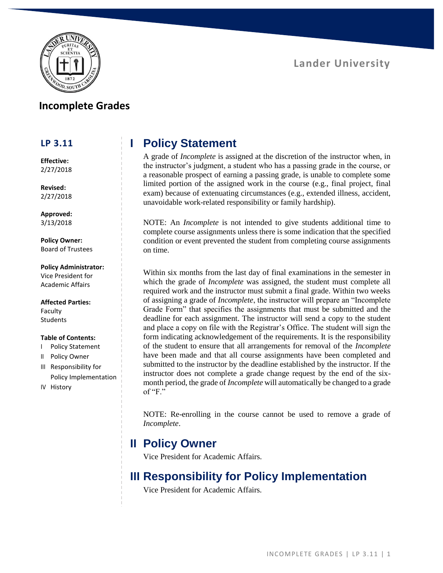



### **Incomplete Grades**

#### **LP 3.11**

**Effective:** 2/27/2018

**Revised:** 2/27/2018

**Approved:** 3/13/2018

**Policy Owner:** Board of Trustees

#### **Policy Administrator:**

Vice President for Academic Affairs

**Affected Parties:** Faculty **Students** 

#### **Table of Contents:**

- I Policy Statement
- II Policy Owner
- III Responsibility for Policy Implementation
- IV History

## **I Policy Statement**

A grade of *Incomplete* is assigned at the discretion of the instructor when, in the instructor's judgment, a student who has a passing grade in the course, or a reasonable prospect of earning a passing grade, is unable to complete some limited portion of the assigned work in the course (e.g., final project, final exam) because of extenuating circumstances (e.g., extended illness, accident, unavoidable work-related responsibility or family hardship).

NOTE: An *Incomplete* is not intended to give students additional time to complete course assignments unless there is some indication that the specified condition or event prevented the student from completing course assignments on time.

Within six months from the last day of final examinations in the semester in which the grade of *Incomplete* was assigned, the student must complete all required work and the instructor must submit a final grade. Within two weeks of assigning a grade of *Incomplete*, the instructor will prepare an "Incomplete Grade Form" that specifies the assignments that must be submitted and the deadline for each assignment. The instructor will send a copy to the student and place a copy on file with the Registrar's Office. The student will sign the form indicating acknowledgement of the requirements. It is the responsibility of the student to ensure that all arrangements for removal of the *Incomplete* have been made and that all course assignments have been completed and submitted to the instructor by the deadline established by the instructor. If the instructor does not complete a grade change request by the end of the sixmonth period, the grade of *Incomplete* will automatically be changed to a grade of " $F$ ."

NOTE: Re-enrolling in the course cannot be used to remove a grade of *Incomplete*.

### **II Policy Owner**

Vice President for Academic Affairs.

## **III Responsibility for Policy Implementation**

Vice President for Academic Affairs.